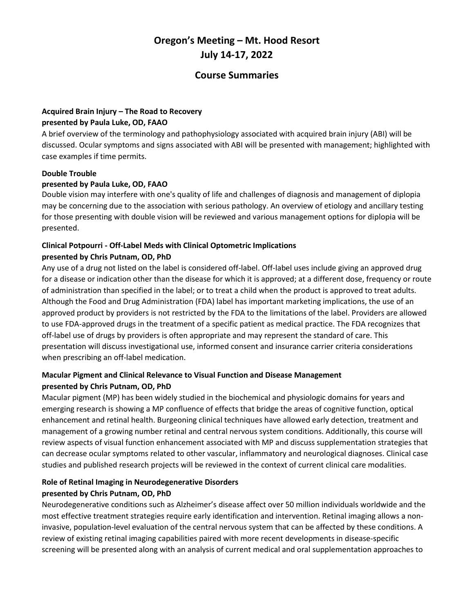# **Oregon's Meeting – Mt. Hood Resort July 14-17, 2022**

## **Course Summaries**

## **Acquired Brain Injury – The Road to Recovery presented by Paula Luke, OD, FAAO**

A brief overview of the terminology and pathophysiology associated with acquired brain injury (ABI) will be discussed. Ocular symptoms and signs associated with ABI will be presented with management; highlighted with case examples if time permits.

#### **Double Trouble**

#### **presented by Paula Luke, OD, FAAO**

Double vision may interfere with one's quality of life and challenges of diagnosis and management of diplopia may be concerning due to the association with serious pathology. An overview of etiology and ancillary testing for those presenting with double vision will be reviewed and various management options for diplopia will be presented.

#### **Clinical Potpourri - Off-Label Meds with Clinical Optometric Implications presented by Chris Putnam, OD, PhD**

Any use of a drug not listed on the label is considered off-label. Off-label uses include giving an approved drug for a disease or indication other than the disease for which it is approved; at a different dose, frequency or route of administration than specified in the label; or to treat a child when the product is approved to treat adults. Although the Food and Drug Administration (FDA) label has important marketing implications, the use of an approved product by providers is not restricted by the FDA to the limitations of the label. Providers are allowed to use FDA-approved drugs in the treatment of a specific patient as medical practice. The FDA recognizes that off-label use of drugs by providers is often appropriate and may represent the standard of care. This presentation will discuss investigational use, informed consent and insurance carrier criteria considerations when prescribing an off-label medication.

## **Macular Pigment and Clinical Relevance to Visual Function and Disease Management presented by Chris Putnam, OD, PhD**

Macular pigment (MP) has been widely studied in the biochemical and physiologic domains for years and emerging research is showing a MP confluence of effects that bridge the areas of cognitive function, optical enhancement and retinal health. Burgeoning clinical techniques have allowed early detection, treatment and management of a growing number retinal and central nervous system conditions. Additionally, this course will review aspects of visual function enhancement associated with MP and discuss supplementation strategies that can decrease ocular symptoms related to other vascular, inflammatory and neurological diagnoses. Clinical case studies and published research projects will be reviewed in the context of current clinical care modalities.

## **Role of Retinal Imaging in Neurodegenerative Disorders presented by Chris Putnam, OD, PhD**

Neurodegenerative conditions such as Alzheimer's disease affect over 50 million individuals worldwide and the most effective treatment strategies require early identification and intervention. Retinal imaging allows a noninvasive, population-level evaluation of the central nervous system that can be affected by these conditions. A review of existing retinal imaging capabilities paired with more recent developments in disease-specific screening will be presented along with an analysis of current medical and oral supplementation approaches to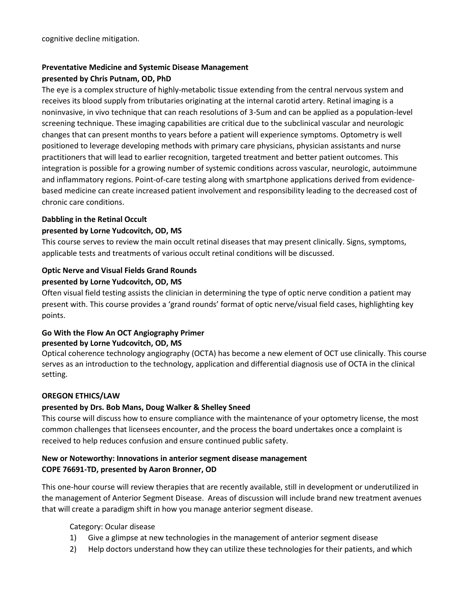## **Preventative Medicine and Systemic Disease Management presented by Chris Putnam, OD, PhD**

The eye is a complex structure of highly-metabolic tissue extending from the central nervous system and receives its blood supply from tributaries originating at the internal carotid artery. Retinal imaging is a noninvasive, in vivo technique that can reach resolutions of 3-5um and can be applied as a population-level screening technique. These imaging capabilities are critical due to the subclinical vascular and neurologic changes that can present months to years before a patient will experience symptoms. Optometry is well positioned to leverage developing methods with primary care physicians, physician assistants and nurse practitioners that will lead to earlier recognition, targeted treatment and better patient outcomes. This integration is possible for a growing number of systemic conditions across vascular, neurologic, autoimmune and inflammatory regions. Point-of-care testing along with smartphone applications derived from evidencebased medicine can create increased patient involvement and responsibility leading to the decreased cost of chronic care conditions.

#### **Dabbling in the Retinal Occult**

#### **presented by Lorne Yudcovitch, OD, MS**

This course serves to review the main occult retinal diseases that may present clinically. Signs, symptoms, applicable tests and treatments of various occult retinal conditions will be discussed.

## **Optic Nerve and Visual Fields Grand Rounds**

#### **presented by Lorne Yudcovitch, OD, MS**

Often visual field testing assists the clinician in determining the type of optic nerve condition a patient may present with. This course provides a 'grand rounds' format of optic nerve/visual field cases, highlighting key points.

## **Go With the Flow An OCT Angiography Primer presented by Lorne Yudcovitch, OD, MS**

Optical coherence technology angiography (OCTA) has become a new element of OCT use clinically. This course serves as an introduction to the technology, application and differential diagnosis use of OCTA in the clinical setting.

## **OREGON ETHICS/LAW**

## **presented by Drs. Bob Mans, Doug Walker & Shelley Sneed**

This course will discuss how to ensure compliance with the maintenance of your optometry license, the most common challenges that licensees encounter, and the process the board undertakes once a complaint is received to help reduces confusion and ensure continued public safety.

## **New or Noteworthy: Innovations in anterior segment disease management COPE 76691-TD, presented by Aaron Bronner, OD**

This one-hour course will review therapies that are recently available, still in development or underutilized in the management of Anterior Segment Disease. Areas of discussion will include brand new treatment avenues that will create a paradigm shift in how you manage anterior segment disease.

Category: Ocular disease

- 1) Give a glimpse at new technologies in the management of anterior segment disease
- 2) Help doctors understand how they can utilize these technologies for their patients, and which